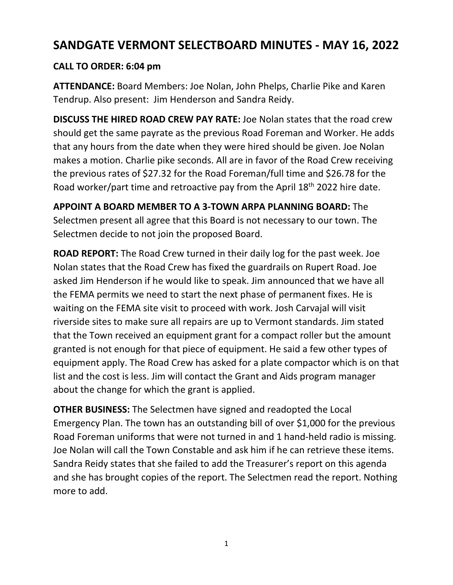## **SANDGATE VERMONT SELECTBOARD MINUTES - MAY 16, 2022**

## **CALL TO ORDER: 6:04 pm**

**ATTENDANCE:** Board Members: Joe Nolan, John Phelps, Charlie Pike and Karen Tendrup. Also present: Jim Henderson and Sandra Reidy.

**DISCUSS THE HIRED ROAD CREW PAY RATE:** Joe Nolan states that the road crew should get the same payrate as the previous Road Foreman and Worker. He adds that any hours from the date when they were hired should be given. Joe Nolan makes a motion. Charlie pike seconds. All are in favor of the Road Crew receiving the previous rates of \$27.32 for the Road Foreman/full time and \$26.78 for the Road worker/part time and retroactive pay from the April 18th 2022 hire date.

**APPOINT A BOARD MEMBER TO A 3-TOWN ARPA PLANNING BOARD:** The Selectmen present all agree that this Board is not necessary to our town. The Selectmen decide to not join the proposed Board.

**ROAD REPORT:** The Road Crew turned in their daily log for the past week. Joe Nolan states that the Road Crew has fixed the guardrails on Rupert Road. Joe asked Jim Henderson if he would like to speak. Jim announced that we have all the FEMA permits we need to start the next phase of permanent fixes. He is waiting on the FEMA site visit to proceed with work. Josh Carvajal will visit riverside sites to make sure all repairs are up to Vermont standards. Jim stated that the Town received an equipment grant for a compact roller but the amount granted is not enough for that piece of equipment. He said a few other types of equipment apply. The Road Crew has asked for a plate compactor which is on that list and the cost is less. Jim will contact the Grant and Aids program manager about the change for which the grant is applied.

**OTHER BUSINESS:** The Selectmen have signed and readopted the Local Emergency Plan. The town has an outstanding bill of over \$1,000 for the previous Road Foreman uniforms that were not turned in and 1 hand-held radio is missing. Joe Nolan will call the Town Constable and ask him if he can retrieve these items. Sandra Reidy states that she failed to add the Treasurer's report on this agenda and she has brought copies of the report. The Selectmen read the report. Nothing more to add.